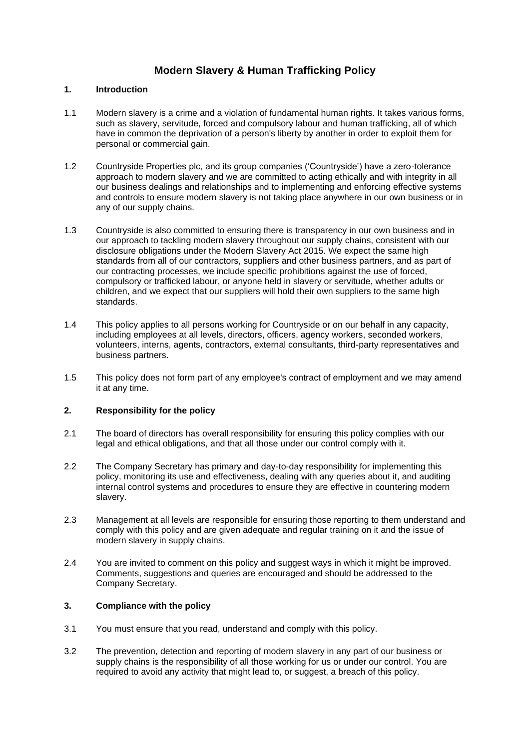# **Modern Slavery & Human Trafficking Policy**

## **1. Introduction**

- 1.1 Modern slavery is a crime and a violation of fundamental human rights. It takes various forms, such as slavery, servitude, forced and compulsory labour and human trafficking, all of which have in common the deprivation of a person's liberty by another in order to exploit them for personal or commercial gain.
- 1.2 Countryside Properties plc, and its group companies ('Countryside') have a zero-tolerance approach to modern slavery and we are committed to acting ethically and with integrity in all our business dealings and relationships and to implementing and enforcing effective systems and controls to ensure modern slavery is not taking place anywhere in our own business or in any of our supply chains.
- 1.3 Countryside is also committed to ensuring there is transparency in our own business and in our approach to tackling modern slavery throughout our supply chains, consistent with our disclosure obligations under the Modern Slavery Act 2015. We expect the same high standards from all of our contractors, suppliers and other business partners, and as part of our contracting processes, we include specific prohibitions against the use of forced, compulsory or trafficked labour, or anyone held in slavery or servitude, whether adults or children, and we expect that our suppliers will hold their own suppliers to the same high standards.
- 1.4 This policy applies to all persons working for Countryside or on our behalf in any capacity, including employees at all levels, directors, officers, agency workers, seconded workers, volunteers, interns, agents, contractors, external consultants, third-party representatives and business partners.
- 1.5 This policy does not form part of any employee's contract of employment and we may amend it at any time.

# **2. Responsibility for the policy**

- 2.1 The board of directors has overall responsibility for ensuring this policy complies with our legal and ethical obligations, and that all those under our control comply with it.
- 2.2 The Company Secretary has primary and day-to-day responsibility for implementing this policy, monitoring its use and effectiveness, dealing with any queries about it, and auditing internal control systems and procedures to ensure they are effective in countering modern slavery.
- 2.3 Management at all levels are responsible for ensuring those reporting to them understand and comply with this policy and are given adequate and regular training on it and the issue of modern slavery in supply chains.
- 2.4 You are invited to comment on this policy and suggest ways in which it might be improved. Comments, suggestions and queries are encouraged and should be addressed to the Company Secretary.

# **3. Compliance with the policy**

- 3.1 You must ensure that you read, understand and comply with this policy.
- 3.2 The prevention, detection and reporting of modern slavery in any part of our business or supply chains is the responsibility of all those working for us or under our control. You are required to avoid any activity that might lead to, or suggest, a breach of this policy.